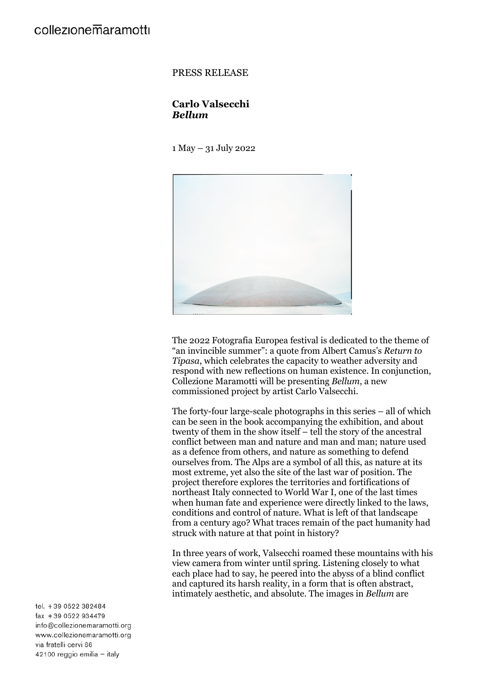### PRESS RELEASE

# **Carlo Valsecchi** *Bellum*

1 May – 31 July 2022



The 2022 Fotografia Europea festival is dedicated to the theme of "an invincible summer": a quote from Albert Camus's *Return to Tipasa*, which celebrates the capacity to weather adversity and respond with new reflections on human existence. In conjunction, Collezione Maramotti will be presenting *Bellum*, a new commissioned project by artist Carlo Valsecchi.

The forty-four large-scale photographs in this series – all of which can be seen in the book accompanying the exhibition, and about twenty of them in the show itself – tell the story of the ancestral conflict between man and nature and man and man; nature used as a defence from others, and nature as something to defend ourselves from. The Alps are a symbol of all this, as nature at its most extreme, yet also the site of the last war of position. The project therefore explores the territories and fortifications of northeast Italy connected to World War I, one of the last times when human fate and experience were directly linked to the laws, conditions and control of nature. What is left of that landscape from a century ago? What traces remain of the pact humanity had struck with nature at that point in history?

In three years of work, Valsecchi roamed these mountains with his view camera from winter until spring. Listening closely to what each place had to say, he peered into the abyss of a blind conflict and captured its harsh reality, in a form that is often abstract, intimately aesthetic, and absolute. The images in *Bellum* are

tel. +39 0522 382484 fax +39 0522 934479 info@collezionemaramotti.org www.collezionemaramotti.org via fratelli cervi 66 42100 reggio emilia - italy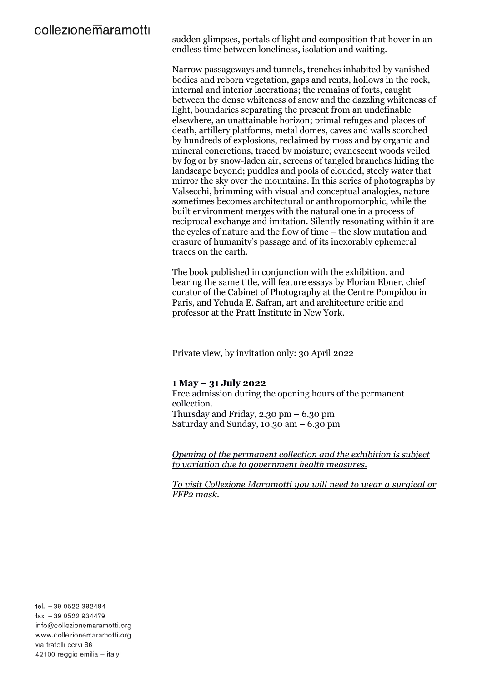sudden glimpses, portals of light and composition that hover in an endless time between loneliness, isolation and waiting.

Narrow passageways and tunnels, trenches inhabited by vanished bodies and reborn vegetation, gaps and rents, hollows in the rock, internal and interior lacerations; the remains of forts, caught between the dense whiteness of snow and the dazzling whiteness of light, boundaries separating the present from an undefinable elsewhere, an unattainable horizon; primal refuges and places of death, artillery platforms, metal domes, caves and walls scorched by hundreds of explosions, reclaimed by moss and by organic and mineral concretions, traced by moisture; evanescent woods veiled by fog or by snow-laden air, screens of tangled branches hiding the landscape beyond; puddles and pools of clouded, steely water that mirror the sky over the mountains. In this series of photographs by Valsecchi, brimming with visual and conceptual analogies, nature sometimes becomes architectural or anthropomorphic, while the built environment merges with the natural one in a process of reciprocal exchange and imitation. Silently resonating within it are the cycles of nature and the flow of time – the slow mutation and erasure of humanity's passage and of its inexorably ephemeral traces on the earth.

The book published in conjunction with the exhibition, and bearing the same title, will feature essays by Florian Ebner, chief curator of the Cabinet of Photography at the Centre Pompidou in Paris, and Yehuda E. Safran, art and architecture critic and professor at the Pratt Institute in New York.

Private view, by invitation only: 30 April 2022

# **1 May – 31 July 2022**

Free admission during the opening hours of the permanent collection. Thursday and Friday,  $2.30 \text{ pm} - 6.30 \text{ pm}$ Saturday and Sunday, 10.30 am – 6.30 pm

*Opening of the permanent collection and the exhibition is subject to variation due to government health measures.*

*To visit Collezione Maramotti you will need to wear a surgical or FFP2 mask.*